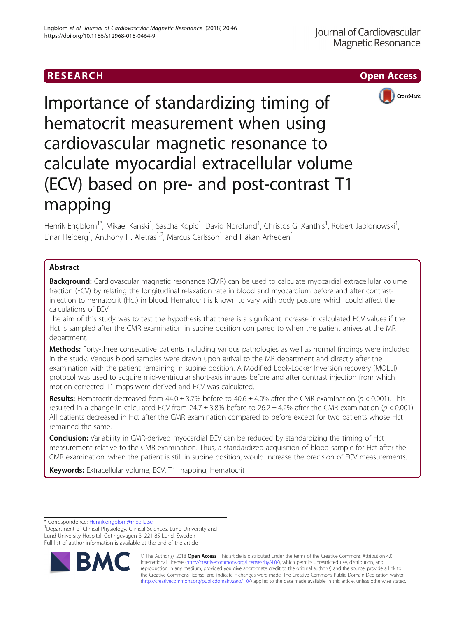



Importance of standardizing timing of hematocrit measurement when using cardiovascular magnetic resonance to calculate myocardial extracellular volume (ECV) based on pre- and post-contrast T1 mapping

Henrik Engblom<sup>1\*</sup>, Mikael Kanski<sup>1</sup>, Sascha Kopic<sup>1</sup>, David Nordlund<sup>1</sup>, Christos G. Xanthis<sup>1</sup>, Robert Jablonowski<sup>1</sup> , Einar Heiberg<sup>1</sup>, Anthony H. Aletras<sup>1,2</sup>, Marcus Carlsson<sup>1</sup> and Håkan Arheden<sup>1</sup>

# Abstract

**Background:** Cardiovascular magnetic resonance (CMR) can be used to calculate myocardial extracellular volume fraction (ECV) by relating the longitudinal relaxation rate in blood and myocardium before and after contrastinjection to hematocrit (Hct) in blood. Hematocrit is known to vary with body posture, which could affect the calculations of ECV.

The aim of this study was to test the hypothesis that there is a significant increase in calculated ECV values if the Hct is sampled after the CMR examination in supine position compared to when the patient arrives at the MR department.

Methods: Forty-three consecutive patients including various pathologies as well as normal findings were included in the study. Venous blood samples were drawn upon arrival to the MR department and directly after the examination with the patient remaining in supine position. A Modified Look-Locker Inversion recovery (MOLLI) protocol was used to acquire mid-ventricular short-axis images before and after contrast injection from which motion-corrected T1 maps were derived and ECV was calculated.

**Results:** Hematocrit decreased from  $44.0 \pm 3.7\%$  before to  $40.6 \pm 4.0\%$  after the CMR examination ( $p < 0.001$ ). This resulted in a change in calculated ECV from 24.7  $\pm$  3.8% before to 26.2  $\pm$  4.2% after the CMR examination ( $p$  < 0.001). All patients decreased in Hct after the CMR examination compared to before except for two patients whose Hct remained the same.

Conclusion: Variability in CMR-derived myocardial ECV can be reduced by standardizing the timing of Hct measurement relative to the CMR examination. Thus, a standardized acquisition of blood sample for Hct after the CMR examination, when the patient is still in supine position, would increase the precision of ECV measurements.

**Keywords:** Extracellular volume, ECV, T1 mapping, Hematocrit

\* Correspondence: [Henrik.engblom@med.lu.se](mailto:Henrik.engblom@med.lu.se) <sup>1</sup>

<sup>1</sup>Department of Clinical Physiology, Clinical Sciences, Lund University and Lund University Hospital, Getingevägen 3, 221 85 Lund, Sweden Full list of author information is available at the end of the article



© The Author(s). 2018 Open Access This article is distributed under the terms of the Creative Commons Attribution 4.0 International License [\(http://creativecommons.org/licenses/by/4.0/](http://creativecommons.org/licenses/by/4.0/)), which permits unrestricted use, distribution, and reproduction in any medium, provided you give appropriate credit to the original author(s) and the source, provide a link to the Creative Commons license, and indicate if changes were made. The Creative Commons Public Domain Dedication waiver [\(http://creativecommons.org/publicdomain/zero/1.0/](http://creativecommons.org/publicdomain/zero/1.0/)) applies to the data made available in this article, unless otherwise stated.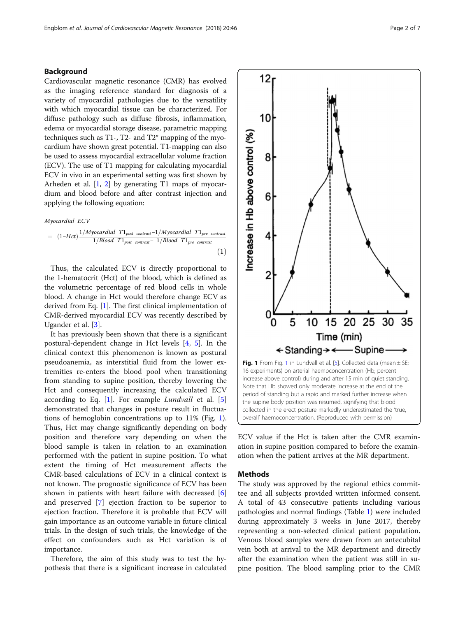# <span id="page-1-0"></span>Background

Cardiovascular magnetic resonance (CMR) has evolved as the imaging reference standard for diagnosis of a variety of myocardial pathologies due to the versatility with which myocardial tissue can be characterized. For diffuse pathology such as diffuse fibrosis, inflammation, edema or myocardial storage disease, parametric mapping techniques such as T1-, T2- and T2\* mapping of the myocardium have shown great potential. T1-mapping can also be used to assess myocardial extracellular volume fraction (ECV). The use of T1 mapping for calculating myocardial ECV in vivo in an experimental setting was first shown by Arheden et al.  $[1, 2]$  $[1, 2]$  $[1, 2]$  $[1, 2]$  by generating T1 maps of myocardium and blood before and after contrast injection and applying the following equation:

# Myocardial ECV

$$
= (1-Hct)\frac{1/Myocardial T1_{post~contrast} - 1/Myocardial T1_{pre~contrast}}{1/Blood T1_{post~contrast} - 1/Blood T1_{pre~contrast}}
$$
\n(1)

Thus, the calculated ECV is directly proportional to the 1-hematocrit (Hct) of the blood, which is defined as the volumetric percentage of red blood cells in whole blood. A change in Hct would therefore change ECV as derived from Eq. [1]. The first clinical implementation of CMR-derived myocardial ECV was recently described by Ugander et al. [\[3](#page-5-0)].

It has previously been shown that there is a significant postural-dependent change in Hct levels [\[4](#page-5-0), [5](#page-5-0)]. In the clinical context this phenomenon is known as postural pseudoanemia, as interstitial fluid from the lower extremities re-enters the blood pool when transitioning from standing to supine position, thereby lowering the Hct and consequently increasing the calculated ECV according to Eq. [1]. For example Lundvall et al. [\[5](#page-5-0)] demonstrated that changes in posture result in fluctuations of hemoglobin concentrations up to 11% (Fig. 1). Thus, Hct may change significantly depending on body position and therefore vary depending on when the blood sample is taken in relation to an examination performed with the patient in supine position. To what extent the timing of Hct measurement affects the CMR-based calculations of ECV in a clinical context is not known. The prognostic significance of ECV has been shown in patients with heart failure with decreased [\[6](#page-5-0)] and preserved [[7\]](#page-5-0) ejection fraction to be superior to ejection fraction. Therefore it is probable that ECV will gain importance as an outcome variable in future clinical trials. In the design of such trials, the knowledge of the effect on confounders such as Hct variation is of importance.

Therefore, the aim of this study was to test the hypothesis that there is a significant increase in calculated



ECV value if the Hct is taken after the CMR examination in supine position compared to before the examination when the patient arrives at the MR department.

# Methods

The study was approved by the regional ethics committee and all subjects provided written informed consent. A total of 43 consecutive patients including various pathologies and normal findings (Table [1](#page-2-0)) were included during approximately 3 weeks in June 2017, thereby representing a non-selected clinical patient population. Venous blood samples were drawn from an antecubital vein both at arrival to the MR department and directly after the examination when the patient was still in supine position. The blood sampling prior to the CMR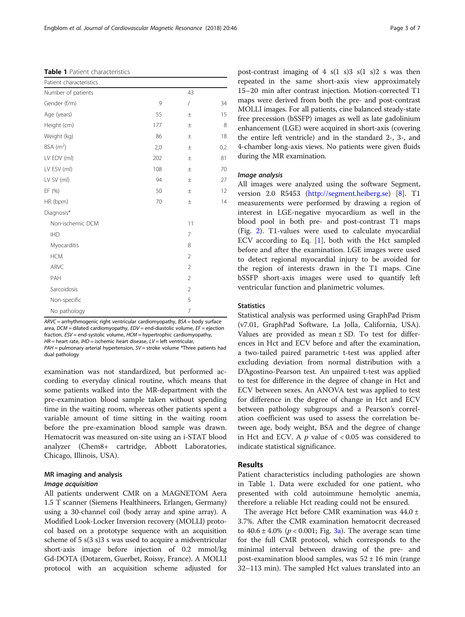# <span id="page-2-0"></span>Table 1 Patient characteristics

| Patient characteristics |     |                |     |
|-------------------------|-----|----------------|-----|
| Number of patients      |     | 43             |     |
| Gender (f/m)            | 9   | $\overline{1}$ | 34  |
| Age (years)             | 55  | $\pm$          | 15  |
| Height (cm)             | 177 | $\pm$          | 8   |
| Weight (kg)             | 86  | $\pm$          | 18  |
| $BSA$ (m <sup>2</sup> ) | 2,0 | $\pm$          | 0,2 |
| LV EDV (ml)             | 202 | $\pm$          | 81  |
| LV ESV (ml)             | 108 | $\pm$          | 70  |
| LV SV (ml)              | 94  | $\pm$          | 27  |
| EF (%)                  | 50  | $\pm$          | 12  |
| HR (bpm)                | 70  | $\pm$          | 14  |
| Diagnosis*              |     |                |     |
| Non-ischemic DCM        |     | 11             |     |
| <b>IHD</b>              |     | 7              |     |
| Myocarditis             |     | 8              |     |
| <b>HCM</b>              |     | $\overline{2}$ |     |
| ARVC                    |     | $\overline{2}$ |     |
| PAH                     |     | $\overline{2}$ |     |
| Sarcoidosis             |     | $\overline{2}$ |     |
| Non-specific            |     | 5              |     |
| No pathology            |     | $\overline{7}$ |     |

 $ARVC = arrhvthmogenic$  right ventricular cardiomyopathy,  $BSA =$  body surface area, DCM = dilated cardiomyopathy, EDV = end-diastolic volume, EF = ejection fraction, ESV = end-systolic volume, HCM = hypertrophic cardiomyopathy,  $HR =$  heart rate,  $IHD =$  ischemic heart disease,  $LV =$  left ventricular,

 $PAH =$  pulmonary arterial hypertension,  $SV =$  stroke volume \*Three patients had dual pathology

examination was not standardized, but performed according to everyday clinical routine, which means that some patients walked into the MR-department with the pre-examination blood sample taken without spending time in the waiting room, whereas other patients spent a variable amount of time sitting in the waiting room before the pre-examination blood sample was drawn. Hematocrit was measured on-site using an i-STAT blood analyzer (Chem8+ cartridge, Abbott Laboratories, Chicago, Illinois, USA).

# MR imaging and analysis

All patients underwent CMR on a MAGNETOM Aera 1.5 T scanner (Siemens Healthineers, Erlangen, Germany) using a 30-channel coil (body array and spine array). A Modified Look-Locker Inversion recovery (MOLLI) protocol based on a prototype sequence with an acquisition scheme of 5 s(3 s)3 s was used to acquire a midventricular short-axis image before injection of 0.2 mmol/kg Gd-DOTA (Dotarem, Guerbet, Roissy, France). A MOLLI protocol with an acquisition scheme adjusted for

post-contrast imaging of  $4 \text{ s}(1 \text{ s})3 \text{ s}(1 \text{ s})2 \text{ s}$  was then repeated in the same short-axis view approximately 15–20 min after contrast injection. Motion-corrected T1 maps were derived from both the pre- and post-contrast MOLLI images. For all patients, cine balanced steady-state free precession (bSSFP) images as well as late gadolinium enhancement (LGE) were acquired in short-axis (covering the entire left ventricle) and in the standard 2-, 3-, and 4-chamber long-axis views. No patients were given fluids during the MR examination.

All images were analyzed using the software Segment, version 2.0 R5453 (<http://segment.heiberg.se>) [\[8](#page-5-0)]. T1 measurements were performed by drawing a region of interest in LGE-negative myocardium as well in the blood pool in both pre- and post-contrast T1 maps (Fig. [2\)](#page-3-0). T1-values were used to calculate myocardial ECV according to Eq. [\[1](#page-1-0)], both with the Hct sampled before and after the examination. LGE images were used to detect regional myocardial injury to be avoided for the region of interests drawn in the T1 maps. Cine bSSFP short-axis images were used to quantify left ventricular function and planimetric volumes.

# **Statistics**

Statistical analysis was performed using GraphPad Prism (v7.01, GraphPad Software, La Jolla, California, USA). Values are provided as mean  $\pm$  SD. To test for differences in Hct and ECV before and after the examination, a two-tailed paired parametric t-test was applied after excluding deviation from normal distribution with a D'Agostino-Pearson test. An unpaired t-test was applied to test for difference in the degree of change in Hct and ECV between sexes. An ANOVA test was applied to test for difference in the degree of change in Hct and ECV between pathology subgroups and a Pearson's correlation coefficient was used to assess the correlation between age, body weight, BSA and the degree of change in Hct and ECV. A  $p$  value of  $< 0.05$  was considered to indicate statistical significance.

# Results

Patient characteristics including pathologies are shown in Table 1. Data were excluded for one patient, who presented with cold autoimmune hemolytic anemia, therefore a reliable Hct reading could not be ensured.

The average Hct before CMR examination was  $44.0 \pm$ 3.7%. After the CMR examination hematocrit decreased to  $40.6 \pm 4.0\%$  ( $p < 0.001$ ; Fig. [3a\)](#page-3-0). The average scan time for the full CMR protocol, which corresponds to the minimal interval between drawing of the pre- and post-examination blood samples, was  $52 \pm 16$  min (range 32–113 min). The sampled Hct values translated into an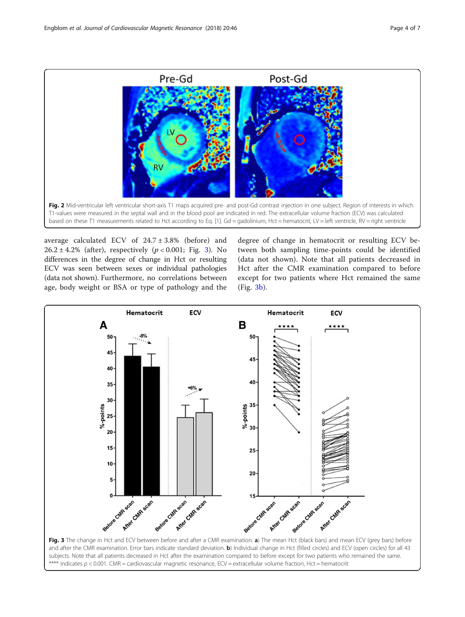<span id="page-3-0"></span>

average calculated ECV of  $24.7 \pm 3.8\%$  (before) and  $26.2 \pm 4.2\%$  (after), respectively ( $p < 0.001$ ; Fig. 3). No differences in the degree of change in Hct or resulting ECV was seen between sexes or individual pathologies (data not shown). Furthermore, no correlations between age, body weight or BSA or type of pathology and the

degree of change in hematocrit or resulting ECV between both sampling time-points could be identified (data not shown). Note that all patients decreased in Hct after the CMR examination compared to before except for two patients where Hct remained the same (Fig. 3b).



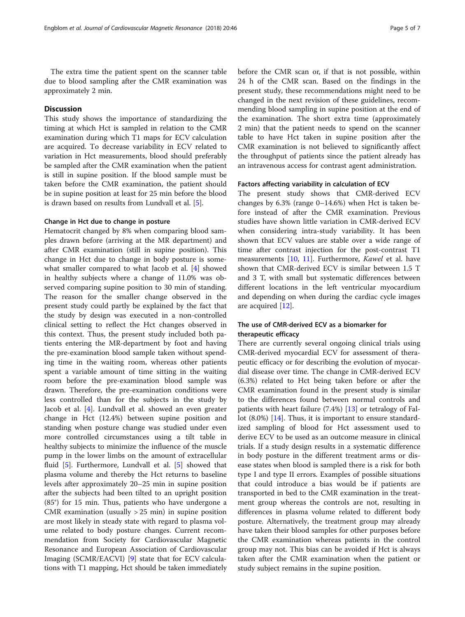The extra time the patient spent on the scanner table due to blood sampling after the CMR examination was approximately 2 min.

# **Discussion**

This study shows the importance of standardizing the timing at which Hct is sampled in relation to the CMR examination during which T1 maps for ECV calculation are acquired. To decrease variability in ECV related to variation in Hct measurements, blood should preferably be sampled after the CMR examination when the patient is still in supine position. If the blood sample must be taken before the CMR examination, the patient should be in supine position at least for 25 min before the blood is drawn based on results from Lundvall et al. [[5](#page-5-0)].

# Change in Hct due to change in posture

Hematocrit changed by 8% when comparing blood samples drawn before (arriving at the MR department) and after CMR examination (still in supine position). This change in Hct due to change in body posture is somewhat smaller compared to what Jacob et al. [[4\]](#page-5-0) showed in healthy subjects where a change of 11.0% was observed comparing supine position to 30 min of standing. The reason for the smaller change observed in the present study could partly be explained by the fact that the study by design was executed in a non-controlled clinical setting to reflect the Hct changes observed in this context. Thus, the present study included both patients entering the MR-department by foot and having the pre-examination blood sample taken without spending time in the waiting room, whereas other patients spent a variable amount of time sitting in the waiting room before the pre-examination blood sample was drawn. Therefore, the pre-examination conditions were less controlled than for the subjects in the study by Jacob et al. [\[4\]](#page-5-0). Lundvall et al. showed an even greater change in Hct (12.4%) between supine position and standing when posture change was studied under even more controlled circumstances using a tilt table in healthy subjects to minimize the influence of the muscle pump in the lower limbs on the amount of extracellular fluid [\[5\]](#page-5-0). Furthermore, Lundvall et al. [\[5](#page-5-0)] showed that plasma volume and thereby the Hct returns to baseline levels after approximately 20–25 min in supine position after the subjects had been tilted to an upright position (85°) for 15 min. Thus, patients who have undergone a CMR examination (usually  $> 25$  min) in supine position are most likely in steady state with regard to plasma volume related to body posture changes. Current recommendation from Society for Cardiovascular Magnetic Resonance and European Association of Cardiovascular Imaging (SCMR/EACVI) [[9\]](#page-5-0) state that for ECV calculations with T1 mapping, Hct should be taken immediately before the CMR scan or, if that is not possible, within 24 h of the CMR scan. Based on the findings in the present study, these recommendations might need to be changed in the next revision of these guidelines, recommending blood sampling in supine position at the end of the examination. The short extra time (approximately 2 min) that the patient needs to spend on the scanner table to have Hct taken in supine position after the CMR examination is not believed to significantly affect the throughput of patients since the patient already has an intravenous access for contrast agent administration.

# Factors affecting variability in calculation of ECV

The present study shows that CMR-derived ECV changes by 6.3% (range 0–14.6%) when Hct is taken before instead of after the CMR examination. Previous studies have shown little variation in CMR-derived ECV when considering intra-study variability. It has been shown that ECV values are stable over a wide range of time after contrast injection for the post-contrast T1 measurements [\[10](#page-5-0), [11](#page-5-0)]. Furthermore, Kawel et al. have shown that CMR-derived ECV is similar between 1.5 T and 3 T, with small but systematic differences between different locations in the left ventricular myocardium and depending on when during the cardiac cycle images are acquired [\[12](#page-6-0)].

# The use of CMR-derived ECV as a biomarker for therapeutic efficacy

There are currently several ongoing clinical trials using CMR-derived myocardial ECV for assessment of therapeutic efficacy or for describing the evolution of myocardial disease over time. The change in CMR-derived ECV (6.3%) related to Hct being taken before or after the CMR examination found in the present study is similar to the differences found between normal controls and patients with heart failure (7.4%) [\[13](#page-6-0)] or tetralogy of Fallot (8.0%) [\[14](#page-6-0)]. Thus, it is important to ensure standardized sampling of blood for Hct assessment used to derive ECV to be used as an outcome measure in clinical trials. If a study design results in a systematic difference in body posture in the different treatment arms or disease states when blood is sampled there is a risk for both type I and type II errors. Examples of possible situations that could introduce a bias would be if patients are transported in bed to the CMR examination in the treatment group whereas the controls are not, resulting in differences in plasma volume related to different body posture. Alternatively, the treatment group may already have taken their blood samples for other purposes before the CMR examination whereas patients in the control group may not. This bias can be avoided if Hct is always taken after the CMR examination when the patient or study subject remains in the supine position.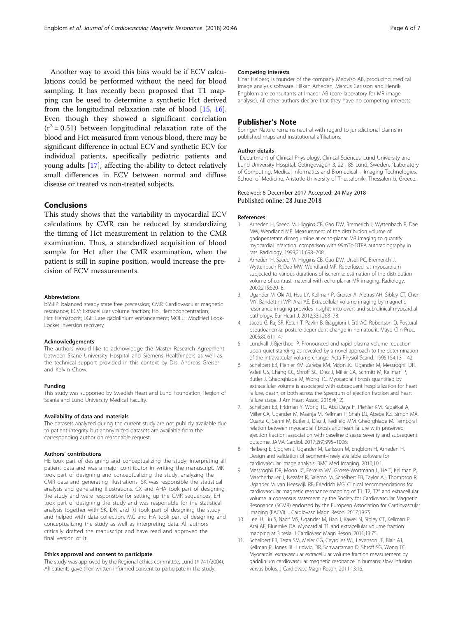<span id="page-5-0"></span>Another way to avoid this bias would be if ECV calculations could be performed without the need for blood sampling. It has recently been proposed that T1 mapping can be used to determine a synthetic Hct derived from the longitudinal relaxation rate of blood [\[15](#page-6-0), [16](#page-6-0)]. Even though they showed a significant correlation  $(r^2 = 0.51)$  between longitudinal relaxation rate of the blood and Hct measured from venous blood, there may be significant difference in actual ECV and synthetic ECV for individual patients, specifically pediatric patients and young adults [\[17](#page-6-0)], affecting the ability to detect relatively small differences in ECV between normal and diffuse disease or treated vs non-treated subjects.

# Conclusions

This study shows that the variability in myocardial ECV calculations by CMR can be reduced by standardizing the timing of Hct measurement in relation to the CMR examination. Thus, a standardized acquisition of blood sample for Hct after the CMR examination, when the patient is still in supine position, would increase the precision of ECV measurements.

### Abbreviations

bSSFP: balanced steady state free precession; CMR: Cardiovascular magnetic resonance; ECV: Extracellular volume fraction; Hb: Hemoconcentration; Hct: Hematocrit; LGE: Late gadolinium enhancement; MOLLI: Modified Look-Locker inversion recovery

#### Acknowledgements

The authors would like to acknowledge the Master Research Agreement between Skane University Hospital and Siemens Healthineers as well as the technical support provided in this context by Drs. Andreas Greiser and Kelvin Chow.

### Funding

This study was supported by Swedish Heart and Lund Foundation, Region of Scania and Lund University Medical Faculty.

# Availability of data and materials

The datasets analyzed during the current study are not publicly available due to patient integrity but anonymized datasets are available from the corresponding author on reasonable request.

### Authors' contributions

HE took part of designing and conceptualizing the study, interpreting all patient data and was a major contributor in writing the manuscript. MK took part of designing and conceptualizing the study, analyzing the CMR data and generating illustrations. SK was responsible the statistical analysis and generating illustrations. CX and AHA took part of designing the study and were responsible for setting up the CMR sequences. EH took part of designing the study and was responsible for the statistical analysis together with SK. DN and RJ took part of designing the study and helped with data collection. MC and HA took part of designing and conceptualizing the study as well as interpreting data. All authors critically drafted the manuscript and have read and approved the final version of it.

# Ethics approval and consent to participate

The study was approved by the Regional ethics committee, Lund (# 741/2004). All patients gave their written informed consent to participate in the study.

# Competing interests

Einar Heiberg is founder of the company Medviso AB, producing medical image analysis software. Håkan Arheden, Marcus Carlsson and Henrik Engblom are consultants at Imacor AB (core laboratory for MR image analysis). All other authors declare that they have no competing interests.

# Publisher's Note

Springer Nature remains neutral with regard to jurisdictional claims in published maps and institutional affiliations.

#### Author details

<sup>1</sup>Department of Clinical Physiology, Clinical Sciences, Lund University and Lund University Hospital, Getingevägen 3, 221 85 Lund, Sweden. <sup>2</sup>Laboratory of Computing, Medical Informatics and Biomedical – Imaging Technologies, School of Medicine, Aristotle University of Thessaloniki, Thessaloniki, Greece.

# Received: 6 December 2017 Accepted: 24 May 2018<br>Published online: 28 June 2018

#### References

- 1. Arheden H, Saeed M, Higgins CB, Gao DW, Bremerich J, Wyttenbach R, Dae MW, Wendland MF. Measurement of the distribution volume of gadopentetate dimeglumine at echo-planar MR imaging to quantify myocardial infarction: comparison with 99mTc-DTPA autoradiography in rats. Radiology. 1999;211:698–708.
- 2. Arheden H, Saeed M, Higgins CB, Gao DW, Ursell PC, Bremerich J, Wyttenbach R, Dae MW, Wendland MF. Reperfused rat myocardium subjected to various durations of ischemia: estimation of the distribution volume of contrast material with echo-planar MR imaging. Radiology. 2000;215:520–8.
- 3. Ugander M, Oki AJ, Hsu LY, Kellman P, Greiser A, Aletras AH, Sibley CT, Chen MY, Bandettini WP, Arai AE. Extracellular volume imaging by magnetic resonance imaging provides insights into overt and sub-clinical myocardial pathology. Eur Heart J. 2012;33:1268–78.
- 4. Jacob G, Raj SR, Ketch T, Pavlin B, Biaggioni I, Ertl AC, Robertson D. Postural pseudoanemia: posture-dependent change in hematocrit. Mayo Clin Proc. 2005;80:611–4.
- 5. Lundvall J, Bjerkhoel P. Pronounced and rapid plasma volume reduction upon quiet standing as revealed by a novel approach to the determination of the intravascular volume change. Acta Physiol Scand. 1995;154:131–42.
- 6. Schelbert EB, Piehler KM, Zareba KM, Moon JC, Ugander M, Messroghli DR, Valeti US, Chang CC, Shroff SG, Diez J, Miller CA, Schmitt M, Kellman P, Butler J, Gheorghiade M, Wong TC. Myocardial fibrosis quantified by extracellular volume is associated with subsequent hospitalization for heart failure, death, or both across the Spectrum of ejection fraction and heart failure stage. J Am Heart Assoc. 2015;4(12).
- 7. Schelbert EB, Fridman Y, Wong TC, Abu Daya H, Piehler KM, Kadakkal A, Miller CA, Ugander M, Maanja M, Kellman P, Shah DJ, Abebe KZ, Simon MA, Quarta G, Senni M, Butler J, Diez J, Redfield MM, Gheorghiade M. Temporal relation between myocardial fibrosis and heart failure with preserved ejection fraction: association with baseline disease severity and subsequent outcome. JAMA Cardiol. 2017;2(9):995–1006.
- 8. Heiberg E, Sjogren J, Ugander M, Carlsson M, Engblom H, Arheden H. Design and validation of segment–freely available software for cardiovascular image analysis. BMC Med Imaging. 2010;10:1.
- 9. Messroghli DR, Moon JC, Ferreira VM, Grosse-Wortmann L, He T, Kellman P, Mascherbauer J, Nezafat R, Salerno M, Schelbert EB, Taylor AJ, Thompson R, Ugander M, van Heeswijk RB, Friedrich MG. Clinical recommendations for cardiovascular magnetic resonance mapping of T1, T2, T2\* and extracellular volume: a consensus statement by the Society for Cardiovascular Magnetic Resonance (SCMR) endorsed by the European Association for Cardiovascular Imaging (EACVI). J Cardiovasc Magn Reson. 2017;19:75.
- 10. Lee JJ, Liu S, Nacif MS, Ugander M, Han J, Kawel N, Sibley CT, Kellman P, Arai AE, Bluemke DA. Myocardial T1 and extracellular volume fraction mapping at 3 tesla. J Cardiovasc Magn Reson. 2011;13:75.
- 11. Schelbert EB, Testa SM, Meier CG, Ceyrolles WJ, Levenson JE, Blair AJ, Kellman P, Jones BL, Ludwig DR, Schwartzman D, Shroff SG, Wong TC. Myocardial extravascular extracellular volume fraction measurement by gadolinium cardiovascular magnetic resonance in humans: slow infusion versus bolus. J Cardiovasc Magn Reson. 2011;13:16.